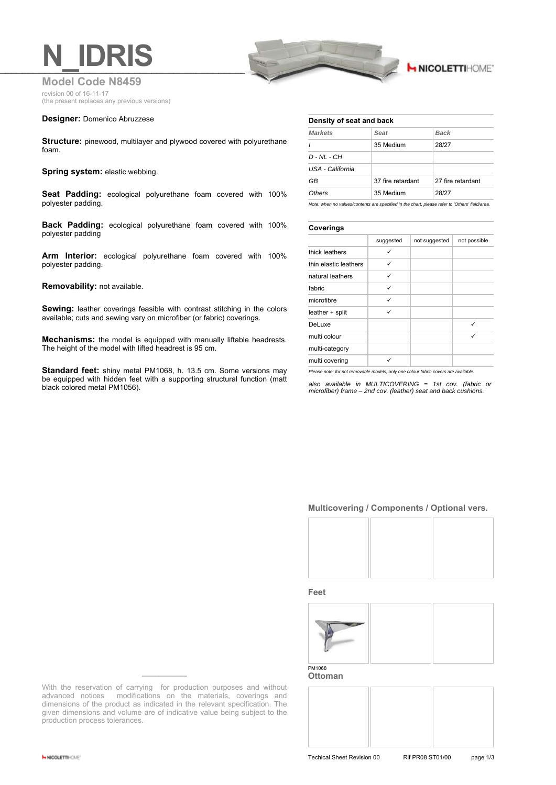

# **H NICOLETTIHOME'**

**Model Code N8459** revision 00 of 16-11-17 (the present replaces any previous versions)

### **Designer:** Domenico Abruzzese

**Structure:** pinewood, multilayer and plywood covered with polyurethane foam.

### **Spring system: elastic webbing.**

**Seat Padding:** ecological polyurethane foam covered with 100% polyester padding.

**Back Padding:** ecological polyurethane foam covered with 100% polyester padding

**Arm Interior:** ecological polyurethane foam covered with 100% polyester padding.

#### **Removability:** not available.

**Sewing:** leather coverings feasible with contrast stitching in the colors available; cuts and sewing vary on microfiber (or fabric) coverings.

**Mechanisms:** the model is equipped with manually liftable headrests. The height of the model with lifted headrest is 95 cm.

**Standard feet:** shiny metal PM1068, h. 13.5 cm. Some versions may be equipped with hidden feet with a supporting structural function (matt black colored metal PM1056).

#### **Density of seat and back**

| <b>Markets</b>   | Seat              | <b>Back</b>       |
|------------------|-------------------|-------------------|
| $\prime$         | 35 Medium         | 28/27             |
| D - NL - CH      |                   |                   |
| USA - California |                   |                   |
| GB               | 37 fire retardant | 27 fire retardant |
| Others           | 35 Medium         | 28/27             |
|                  |                   |                   |

*Note: when no values/contents are specified in the chart, please refer to 'Others' field/area.*

### **Coverings**

|                       | suggested | not suggested | not possible |
|-----------------------|-----------|---------------|--------------|
| thick leathers        |           |               |              |
| thin elastic leathers | ✓         |               |              |
| natural leathers      | ✓         |               |              |
| fabric                | ✓         |               |              |
| microfibre            | ✓         |               |              |
| leather + split       | ✓         |               |              |
| DeLuxe                |           |               | ✓            |
| multi colour          |           |               | ✓            |
| multi-category        |           |               |              |
| multi covering        |           |               |              |

*Please note: for not removable models, only one colour fabric covers are available.*

*also available in MULTICOVERING = 1st cov. (fabric or microfiber) frame – 2nd cov. (leather) seat and back cushions.*

## **Multicovering / Components / Optional vers.**



**Feet**



**Ottoman**



With the reservation of carrying for production purposes and without advanced notices modifications on the materials, coverings and dimensions of the product as indicated in the relevant specification. The given dimensions and volume are of indicative value being subject to the production process tolerances.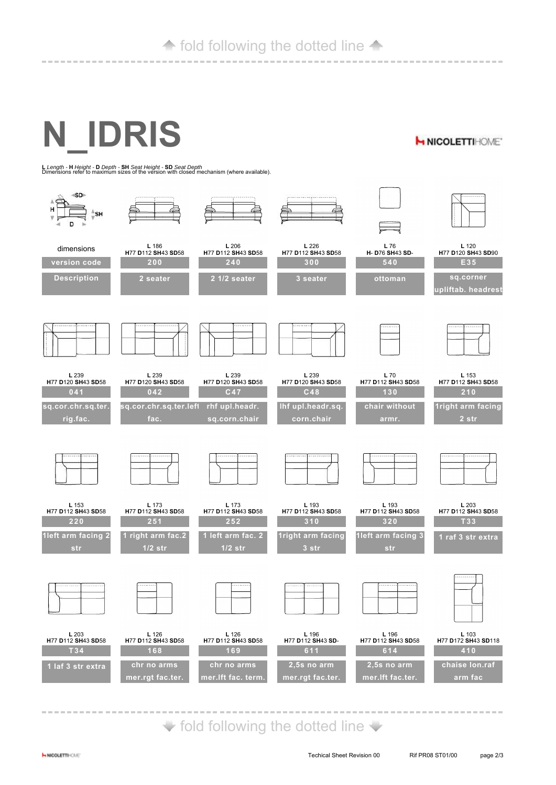# **← fold following the dotted line ←**

**N\_IDRIS**

**H NICOLETTIHOME\*** 

**<sup>L</sup>***Length -* **<sup>H</sup>***Height -* **<sup>D</sup>***Depth -* **SH** *Seat Height -* **SD** *Seat Depth* Dimensions refer to maximum sizes of the version with closed mechanism (where available).



 $\blacktriangleright$  fold following the dotted line  $\blacktriangleright$